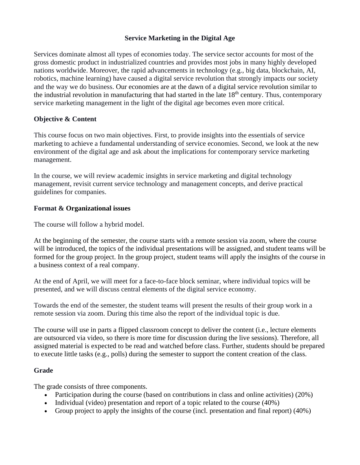# **Service Marketing in the Digital Age**

Services dominate almost all types of economies today. The service sector accounts for most of the gross domestic product in industrialized countries and provides most jobs in many highly developed nations worldwide. Moreover, the rapid advancements in technology (e.g., big data, blockchain, AI, robotics, machine learning) have caused a digital service revolution that strongly impacts our society and the way we do business. Our economies are at the dawn of a digital service revolution similar to the industrial revolution in manufacturing that had started in the late 18th century. Thus, contemporary service marketing management in the light of the digital age becomes even more critical.

# **Objective & Content**

This course focus on two main objectives. First, to provide insights into the essentials of service marketing to achieve a fundamental understanding of service economies. Second, we look at the new environment of the digital age and ask about the implications for contemporary service marketing management.

In the course, we will review academic insights in service marketing and digital technology management, revisit current service technology and management concepts, and derive practical guidelines for companies.

## **Format & Organizational issues**

The course will follow a hybrid model.

At the beginning of the semester, the course starts with a remote session via zoom, where the course will be introduced, the topics of the individual presentations will be assigned, and student teams will be formed for the group project. In the group project, student teams will apply the insights of the course in a business context of a real company.

At the end of April, we will meet for a face-to-face block seminar, where individual topics will be presented, and we will discuss central elements of the digital service economy.

Towards the end of the semester, the student teams will present the results of their group work in a remote session via zoom. During this time also the report of the individual topic is due.

The course will use in parts a flipped classroom concept to deliver the content (i.e., lecture elements are outsourced via video, so there is more time for discussion during the live sessions). Therefore, all assigned material is expected to be read and watched before class. Further, students should be prepared to execute little tasks (e.g., polls) during the semester to support the content creation of the class.

#### **Grade**

The grade consists of three components.

- Participation during the course (based on contributions in class and online activities) (20%)
- Individual (video) presentation and report of a topic related to the course (40%)
- Group project to apply the insights of the course (incl. presentation and final report) (40%)